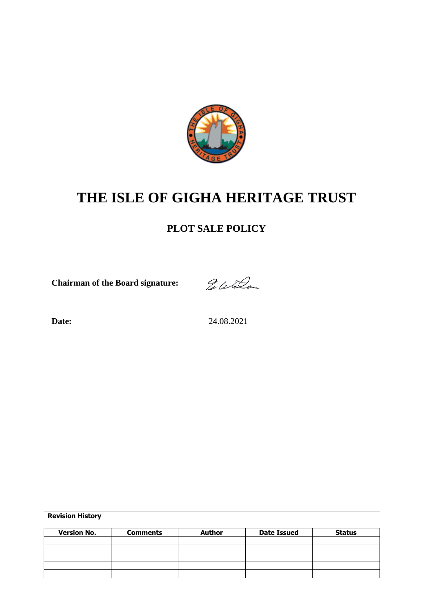

# **THE ISLE OF GIGHA HERITAGE TRUST**

# **PLOT SALE POLICY**

**Chairman of the Board signature:**

Eletter

**Date:** 24.08.2021

**Revision History**

| <b>Version No.</b> | <b>Comments</b> | <b>Author</b> | <b>Date Issued</b> | <b>Status</b> |
|--------------------|-----------------|---------------|--------------------|---------------|
|                    |                 |               |                    |               |
|                    |                 |               |                    |               |
|                    |                 |               |                    |               |
|                    |                 |               |                    |               |
|                    |                 |               |                    |               |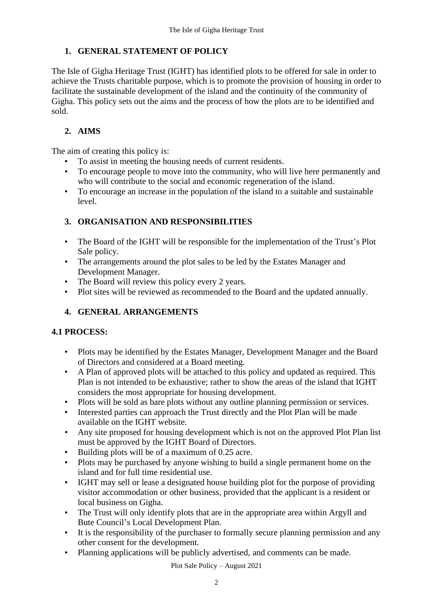#### **1. GENERAL STATEMENT OF POLICY**

The Isle of Gigha Heritage Trust (IGHT) has identified plots to be offered for sale in order to achieve the Trusts charitable purpose, which is to promote the provision of housing in order to facilitate the sustainable development of the island and the continuity of the community of Gigha. This policy sets out the aims and the process of how the plots are to be identified and sold.

#### **2. AIMS**

The aim of creating this policy is:

- To assist in meeting the housing needs of current residents.
- To encourage people to move into the community, who will live here permanently and who will contribute to the social and economic regeneration of the island.
- To encourage an increase in the population of the island to a suitable and sustainable level.

# **3. ORGANISATION AND RESPONSIBILITIES**

- The Board of the IGHT will be responsible for the implementation of the Trust's Plot Sale policy.
- The arrangements around the plot sales to be led by the Estates Manager and Development Manager.
- The Board will review this policy every 2 years.
- Plot sites will be reviewed as recommended to the Board and the updated annually.

# **4. GENERAL ARRANGEMENTS**

#### **4.1 PROCESS:**

- Plots may be identified by the Estates Manager, Development Manager and the Board of Directors and considered at a Board meeting.
- A Plan of approved plots will be attached to this policy and updated as required. This Plan is not intended to be exhaustive; rather to show the areas of the island that IGHT considers the most appropriate for housing development.
- Plots will be sold as bare plots without any outline planning permission or services.
- Interested parties can approach the Trust directly and the Plot Plan will be made available on the IGHT website.
- Any site proposed for housing development which is not on the approved Plot Plan list must be approved by the IGHT Board of Directors.
- Building plots will be of a maximum of 0.25 acre.
- Plots may be purchased by anyone wishing to build a single permanent home on the island and for full time residential use.
- IGHT may sell or lease a designated house building plot for the purpose of providing visitor accommodation or other business, provided that the applicant is a resident or local business on Gigha.
- The Trust will only identify plots that are in the appropriate area within Argyll and Bute Council's Local Development Plan.
- It is the responsibility of the purchaser to formally secure planning permission and any other consent for the development.
- Planning applications will be publicly advertised, and comments can be made.

Plot Sale Policy – August 2021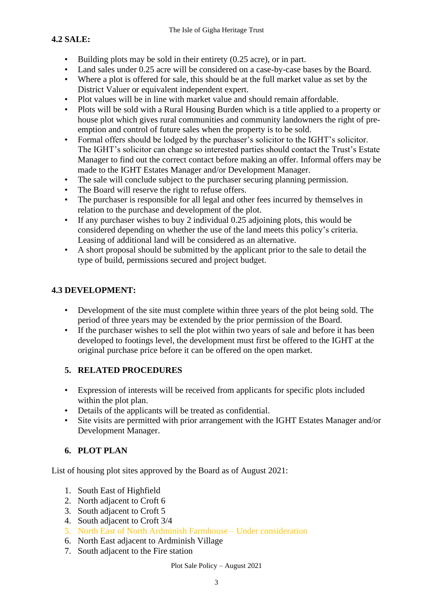### **4.2 SALE:**

- Building plots may be sold in their entirety (0.25 acre), or in part.
- Land sales under 0.25 acre will be considered on a case-by-case bases by the Board.
- Where a plot is offered for sale, this should be at the full market value as set by the District Valuer or equivalent independent expert.
- Plot values will be in line with market value and should remain affordable.
- Plots will be sold with a Rural Housing Burden which is a title applied to a property or house plot which gives rural communities and community landowners the right of preemption and control of future sales when the property is to be sold.
- Formal offers should be lodged by the purchaser's solicitor to the IGHT's solicitor. The IGHT's solicitor can change so interested parties should contact the Trust's Estate Manager to find out the correct contact before making an offer. Informal offers may be made to the IGHT Estates Manager and/or Development Manager.
- The sale will conclude subject to the purchaser securing planning permission.
- The Board will reserve the right to refuse offers.
- The purchaser is responsible for all legal and other fees incurred by themselves in relation to the purchase and development of the plot.
- If any purchaser wishes to buy 2 individual 0.25 adjoining plots, this would be considered depending on whether the use of the land meets this policy's criteria. Leasing of additional land will be considered as an alternative.
- A short proposal should be submitted by the applicant prior to the sale to detail the type of build, permissions secured and project budget.

#### **4.3 DEVELOPMENT:**

- Development of the site must complete within three years of the plot being sold. The period of three years may be extended by the prior permission of the Board.
- If the purchaser wishes to sell the plot within two years of sale and before it has been developed to footings level, the development must first be offered to the IGHT at the original purchase price before it can be offered on the open market.

#### **5. RELATED PROCEDURES**

- Expression of interests will be received from applicants for specific plots included within the plot plan.
- Details of the applicants will be treated as confidential.
- Site visits are permitted with prior arrangement with the IGHT Estates Manager and/or Development Manager.

#### **6. PLOT PLAN**

List of housing plot sites approved by the Board as of August 2021:

- 1. South East of Highfield
- 2. North adjacent to Croft 6
- 3. South adjacent to Croft 5
- 4. South adjacent to Croft 3/4
- 5. North East of North Ardminish Farmhouse Under consideration
- 6. North East adjacent to Ardminish Village
- 7. South adjacent to the Fire station

Plot Sale Policy – August 2021